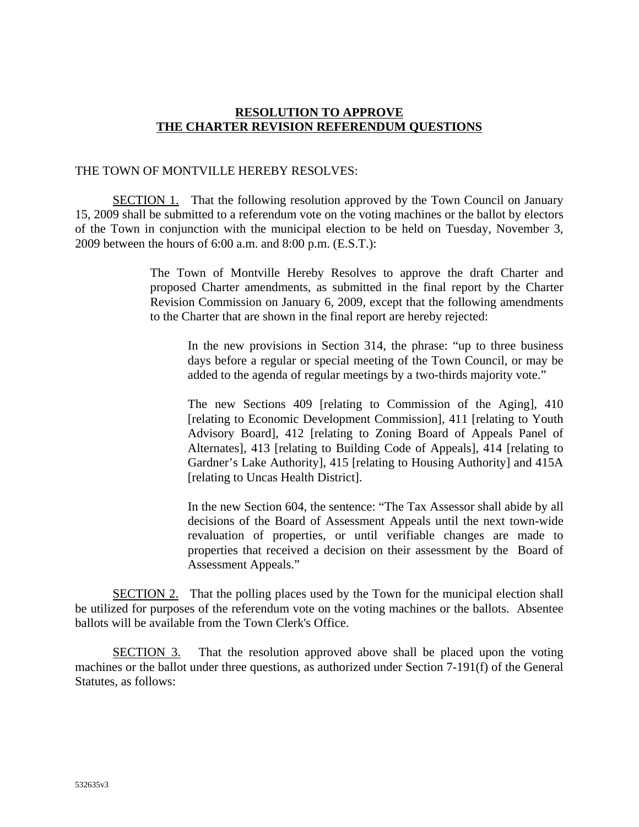## **RESOLUTION TO APPROVE THE CHARTER REVISION REFERENDUM QUESTIONS**

### THE TOWN OF MONTVILLE HEREBY RESOLVES:

**SECTION 1.** That the following resolution approved by the Town Council on January 15, 2009 shall be submitted to a referendum vote on the voting machines or the ballot by electors of the Town in conjunction with the municipal election to be held on Tuesday, November 3, 2009 between the hours of 6:00 a.m. and 8:00 p.m. (E.S.T.):

> The Town of Montville Hereby Resolves to approve the draft Charter and proposed Charter amendments, as submitted in the final report by the Charter Revision Commission on January 6, 2009, except that the following amendments to the Charter that are shown in the final report are hereby rejected:

In the new provisions in Section 314, the phrase: "up to three business days before a regular or special meeting of the Town Council, or may be added to the agenda of regular meetings by a two-thirds majority vote."

The new Sections 409 [relating to Commission of the Aging], 410 [relating to Economic Development Commission], 411 [relating to Youth Advisory Board], 412 [relating to Zoning Board of Appeals Panel of Alternates], 413 [relating to Building Code of Appeals], 414 [relating to Gardner's Lake Authority], 415 [relating to Housing Authority] and 415A [relating to Uncas Health District].

In the new Section 604, the sentence: "The Tax Assessor shall abide by all decisions of the Board of Assessment Appeals until the next town-wide revaluation of properties, or until verifiable changes are made to properties that received a decision on their assessment by the Board of Assessment Appeals."

**SECTION 2.** That the polling places used by the Town for the municipal election shall be utili zed for purposes of the referendum vote on the voting machines or the ballots. Absentee ballots will be available from the Town Clerk's Office.

SECTION 3. That the resolution approved above shall be placed upon the voting machines or the ballot under three questions, as authorized under Section 7-191(f) of the General Statutes, as follows: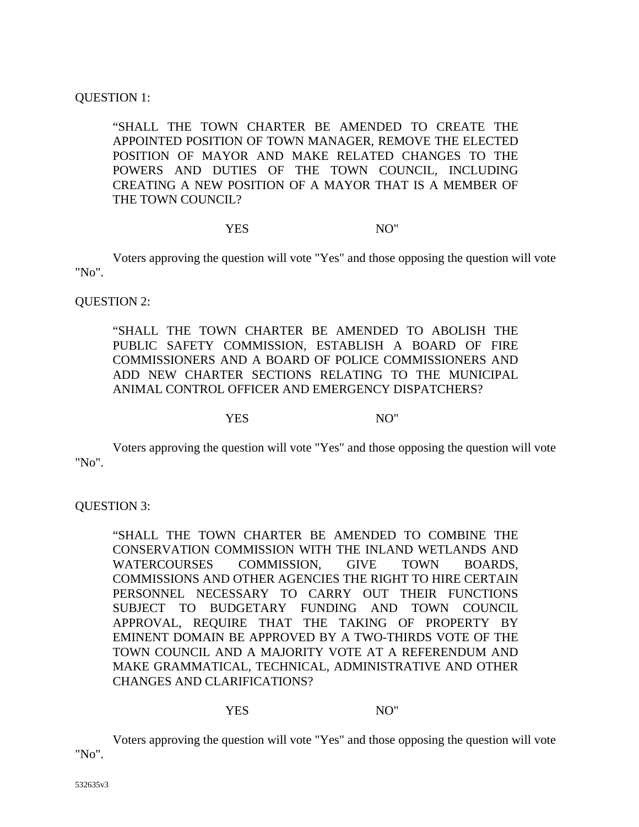### UESTION 1: Q

"SHALL THE TOWN CHARTER BE AMENDED TO CREATE THE APPOINTED POSITION OF TOWN MANAGER, REMOVE THE ELECTED POSITION OF MAYOR AND MAKE RELATED CHANGES TO THE POWERS AND DUTIES OF THE TOWN COUNCIL, INCLUDING CREATING A NEW POSITION OF A MAYOR THAT IS A MEMBER OF THE TOWN COUNCIL?

### YES NO"

Voters approving the question will vote "Yes" and those opposing the question will vote "No".

QUESTION 2:

"SHALL THE TOWN CHARTER BE AMENDED TO ABOLISH THE PUBLIC SAFETY COMMISSION, ESTABLISH A BOARD OF FIRE COMMISSIONERS AND A BOARD OF POLICE COMMISSIONERS AND ADD NEW CHARTER SECTIONS RELATING TO THE MUNICIPAL ANIMAL CONTROL OFFICER AND EMERGENCY DISPATCHERS?

YES NO"

Voters approving the question will vote "Yes" and those opposing the question will vote "No".

UESTION 3: Q

"SHALL THE TOWN CHARTER BE AMENDED TO COMBINE THE CONSERVATION COMMISSION WITH THE INLAND WETLANDS AND WATERCOURSES COMMISSION, GIVE TOWN BOARDS, COMMISSIONS AND OTHER AGENCIES THE RIGHT TO HIRE CERTAIN PERSONNEL NECESSARY TO CARRY OUT THEIR FUNCTIONS SUBJECT TO BUDGETARY FUNDING AND TOWN COUNCIL APPROVAL, REQUIRE THAT THE TAKING OF PROPERTY BY EMINENT DOMAIN BE APPROVED BY A TWO-THIRDS VOTE OF THE TOWN COUNCIL AND A MAJORITY VOTE AT A REFERENDUM AND MAKE GRAMMATICAL, TECHNICAL, ADMINISTRATIVE AND OTHER CHANGES AND CLARIFICATIONS?

#### YES NO"

Voters approving the question will vote "Yes" and those opposing the question will vote "No".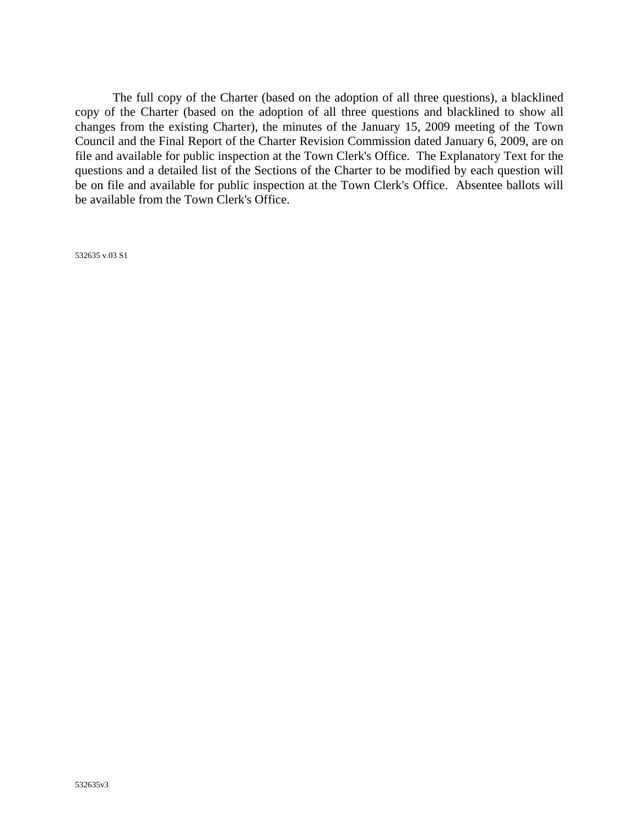copy of the Charter (based on the adoption of all three questions and blacklined to show all changes from the existing Charter), the minutes of the January 15, 2009 meeting of the Town The full copy of the Charter (based on the adoption of all three questions), a blacklined Council and the Final Report of the Charter Revision Commission dated January 6, 2009, are on file and available for public inspection at the Town Clerk's Office. The Explanatory Text for the questions and a detailed list of the Sections of the Charter to be modified by each question will be on file and available for public inspection at the Town Clerk's Office. Absentee ballots will be available from the Town Clerk's Office.

532635 v.03 S1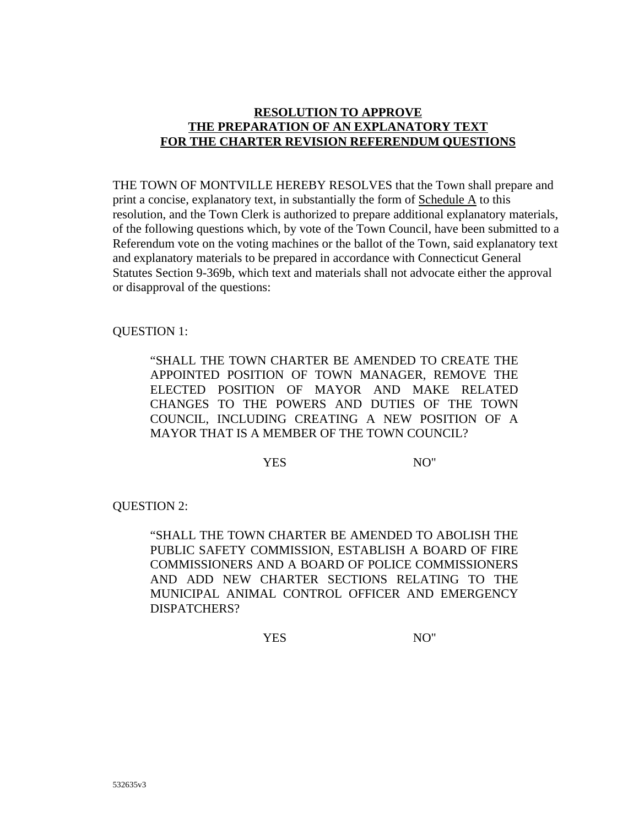# **RESOLUTION TO APPROVE THE PREPARATION OF AN EXPLANATORY TEXT FOR THE CHARTER REVISION REFERENDUM QUESTIONS**

THE TOWN OF MONTVILLE HEREBY RESOLVES that the Town shall prepare and print a concise, explanatory text, in substantially the form of Schedule A to this resolution, and the Town Clerk is authorized to prepare additional explanatory materials, of the following questions which, by vote of the Town Council, have been submitted to a Referendum vote on the voting machines or the ballot of the Town, said explanatory text and explanatory materials to be prepared in accordance with Connecticut General Statutes Section 9-369b, which text and materials shall not advocate either the approval or disapproval of the questions:

## QUESTION 1:

"SHALL THE TOWN CHARTER BE AMENDED TO CREATE THE APPOINTED POSITION OF TOWN MANAGER, REMOVE THE ELECTED POSITION OF MAYOR AND MAKE RELATED CHANGES TO THE POWERS AND DUTIES OF THE TOWN COUNCIL, INCLUDING CREATING A NEW POSITION OF A MAYOR THAT IS A MEMBER OF THE TOWN COUNCIL?

YES NO"

QUESTION 2:

"SHALL THE TOWN CHARTER BE AMENDED TO ABOLISH THE PUBLIC SAFETY COMMISSION, ESTABLISH A BOARD OF FIRE COMMISSIONERS AND A BOARD OF POLICE COMMISSIONERS AND ADD NEW CHARTER SECTIONS RELATING TO THE MUNICIPAL ANIMAL CONTROL OFFICER AND EMERGENCY DISPATCHERS?

YES NO"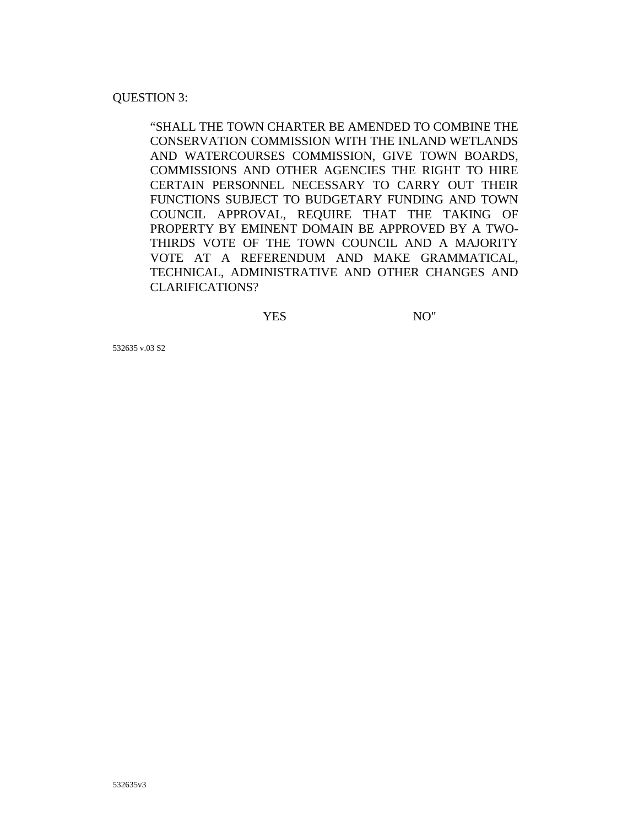### UESTION 3: Q

"SHALL THE TOWN CHARTER BE AMENDED TO COMBINE THE CONSERVATION COMMISSION WITH THE INLAND WETLANDS AND WATERCOURSES COMMISSION, GIVE TOWN BOARDS, COMMISSIONS AND OTHER AGENCIES THE RIGHT TO HIRE CERTAIN PERSONNEL NECESSARY TO CARRY OUT THEIR FUNCTIONS SUBJECT TO BUDGETARY FUNDING AND TOWN COUNCIL APPROVAL, REQUIRE THAT THE TAKING OF PROPERTY BY EMINENT DOMAIN BE APPROVED BY A TWO-THIRDS VOTE OF THE TOWN COUNCIL AND A MAJORITY VOTE AT A REFERENDUM AND MAKE GRAMMATICAL, TECHNICAL, ADMINISTRATIVE AND OTHER CHANGES AND CLARIFICATIONS?

YES NO"

532635 v.03 S2